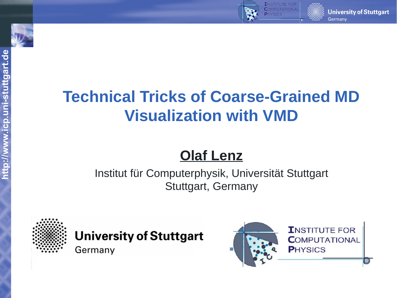



# **Olaf Lenz**

Institut für Computerphysik, Universität Stuttgart Stuttgart, Germany



**University of Stuttgart** 

Germany



**University of Stuttgart** 

Germany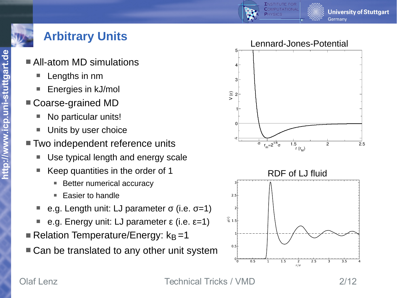

- All-atom MD simulations
	- Lengths in nm
	- Energies in kJ/mol
- Coarse-grained MD
	- No particular units!
	- Units by user choice
- Two independent reference units
	- Use typical length and energy scale
	- Keep quantities in the order of 1
		- Better numerical accuracy
		- Easier to handle
	- e.g. Length unit: LJ parameter  $\sigma$  (i.e.  $\sigma$ =1)
	- e.g. Energy unit: LJ parameter  $ε$  (i.e.  $ε=1$ )
- Relation Temperature/Energy:  $k_B = 1$
- Can be translated to any other unit system





Olaf Lenz Technical Tricks / VMD 2/12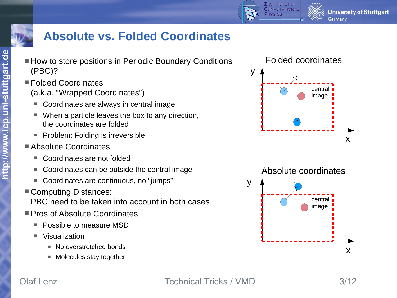



**http://**

**ww**

**w.ic**

**p.u**

**ni-**

**stuttg**

**art.d**

#### **Absolute vs. Folded Coordinates**

- How to store positions in Periodic Boundary Conditions (PBC)?
- Folded Coordinates
	- (a.k.a. "Wrapped Coordinates")
	- Coordinates are always in central image
	- When a particle leaves the box to any direction, the coordinates are folded
	- **Problem: Folding is irreversible**
- Absolute Coordinates
	- Coordinates are not folded
	- Coordinates can be outside the central image
	- Coordinates are continuous, no "jumps"
- Computing Distances:
	- PBC need to be taken into account in both cases
- **Pros of Absolute Coordinates** 
	- Possible to measure MSD
	- Visualization
		- No overstretched bonds
		- Molecules stay together





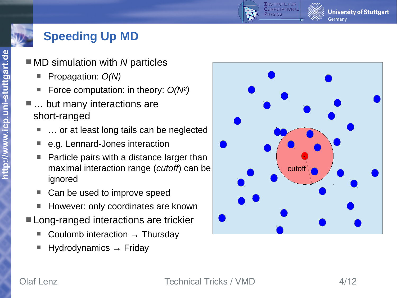## **Speeding Up MD**

- MD simulation with *N* particles
	- Propagation: *O(N)*
	- Force computation: in theory: *O(N²)*
- … but many interactions are short-ranged
	- … or at least long tails can be neglected
	- e.g. Lennard-Jones interaction
	- Particle pairs with a distance larger than maximal interaction range (*cutoff*) can be ignored
	- Can be used to improve speed
	- However: only coordinates are known
- **Long-ranged interactions are trickier** 
	- Coulomb interaction  $\rightarrow$  Thursday
	- Hydrodynamics  $\rightarrow$  Friday



**h**

**University of Stuttgart** 

Germany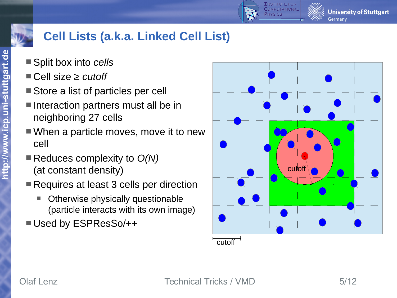

## **Cell Lists (a.k.a. Linked Cell List)**

- Split box into *cells*
- Cell size *≥ cutoff*
- Store a list of particles per cell
- $\blacksquare$  Interaction partners must all be in neighboring 27 cells
- When a particle moves, move it to new cell
- Reduces complexity to *O(N)* (at constant density)
- Requires at least 3 cells per direction
	- Otherwise physically questionable (particle interacts with its own image)
- Used by ESPResSo/++

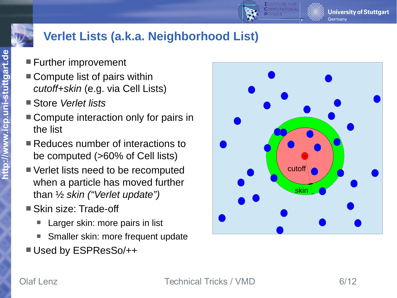



# **Verlet Lists (a.k.a. Neighborhood List)**

- **Further improvement**
- Compute list of pairs within *cutoff+skin* (e.g. via Cell Lists)
- Store *Verlet lists*
- Compute interaction only for pairs in the list
- Reduces number of interactions to be computed (>60% of Cell lists)
- Verlet lists need to be recomputed when a particle has moved further than ½ *skin ("Verlet update")*
- Skin size: Trade-off
	- Larger skin: more pairs in list
	- Smaller skin: more frequent update
- Used by ESPResSo/++

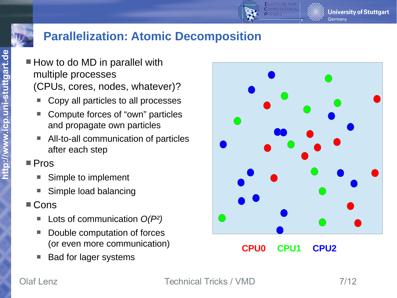

#### **Parallelization: Atomic Decomposition**

- $\blacksquare$  How to do MD in parallel with multiple processes (CPUs, cores, nodes, whatever)?
	- Copy all particles to all processes
	- Compute forces of "own" particles and propagate own particles
	- All-to-all communication of particles after each step
- Pros
	- Simple to implement
	- Simple load balancing
- Cons
	- Lots of communication *O(P²)*
	- Double computation of forces (or even more communication)
	- Bad for lager systems



**CPU0 CPU1 CPU2**

Olaf Lenz **Technical Tricks / VMD** 7/12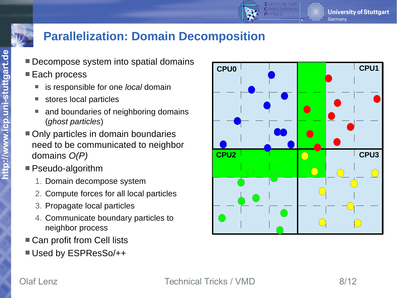



#### **Parallelization: Domain Decomposition**

- Decompose system into spatial domains
- Each process
	- is responsible for one *local* domain
	- stores local particles
	- and boundaries of neighboring domains (*ghost particles*)
- Only particles in domain boundaries need to be communicated to neighbor domains *O(P)*
- Pseudo-algorithm
	- 1. Domain decompose system
	- 2. Compute forces for all local particles
	- 3. Propagate local particles
	- 4. Communicate boundary particles to neighbor process
- Can profit from Cell lists
- Used by ESPResSo/++

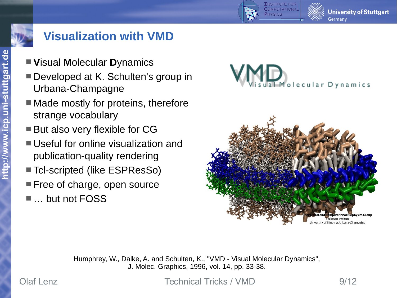

### **Visualization with VMD**

- **V**isual **M**olecular **D**ynamics
- Developed at K. Schulten's group in Urbana-Champagne
- Made mostly for proteins, therefore strange vocabulary
- But also very flexible for CG
- Useful for online visualization and publication-quality rendering
- Tcl-scripted (like ESPResSo)
- **Free of charge, open source**
- … but not FOSS



**PUTATION** 



Humphrey, W., Dalke, A. and Schulten, K., "VMD - Visual Molecular Dynamics", J. Molec. Graphics, 1996, vol. 14, pp. 33-38.

Olaf Lenz **Technical Tricks / VMD** 9/12

**University of Stuttgart** 

Germany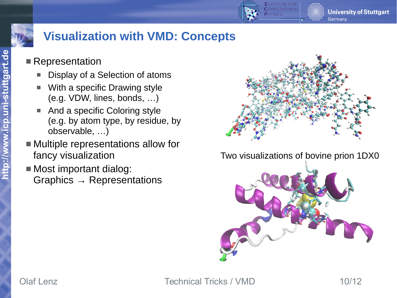

## **Visualization with VMD: Concepts**

#### ■ Representation

- Display of a Selection of atoms
- With a specific Drawing style (e.g. VDW, lines, bonds, …)
- And a specific Coloring style (e.g. by atom type, by residue, by observable, …)
- Multiple representations allow for fancy visualization
- **Most important dialog:** Graphics  $\rightarrow$  Representations



#### Two visualizations of bovine prion 1DX0



Olaf Lenz **Technical Tricks / VMD** 10/12

**University of Stuttgart** 

Germany

**htt**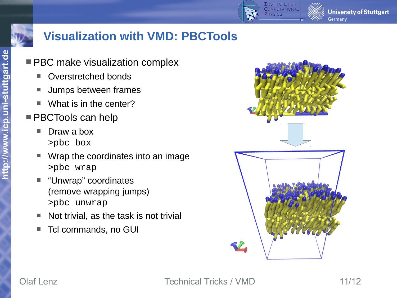

#### **Visualization with VMD: PBCTools**

- **PBC make visualization complex** 
	- Overstretched bonds
	- **Jumps between frames**
	- What is in the center?
- **PBCTools can help** 
	- Draw a box >pbc box
	- Wrap the coordinates into an image >pbc wrap
	- "Unwrap" coordinates (remove wrapping jumps) >pbc unwrap
	- Not trivial, as the task is not trivial
	- Tcl commands, no GUI



Olaf Lenz **Technical Tricks / VMD** 11/12